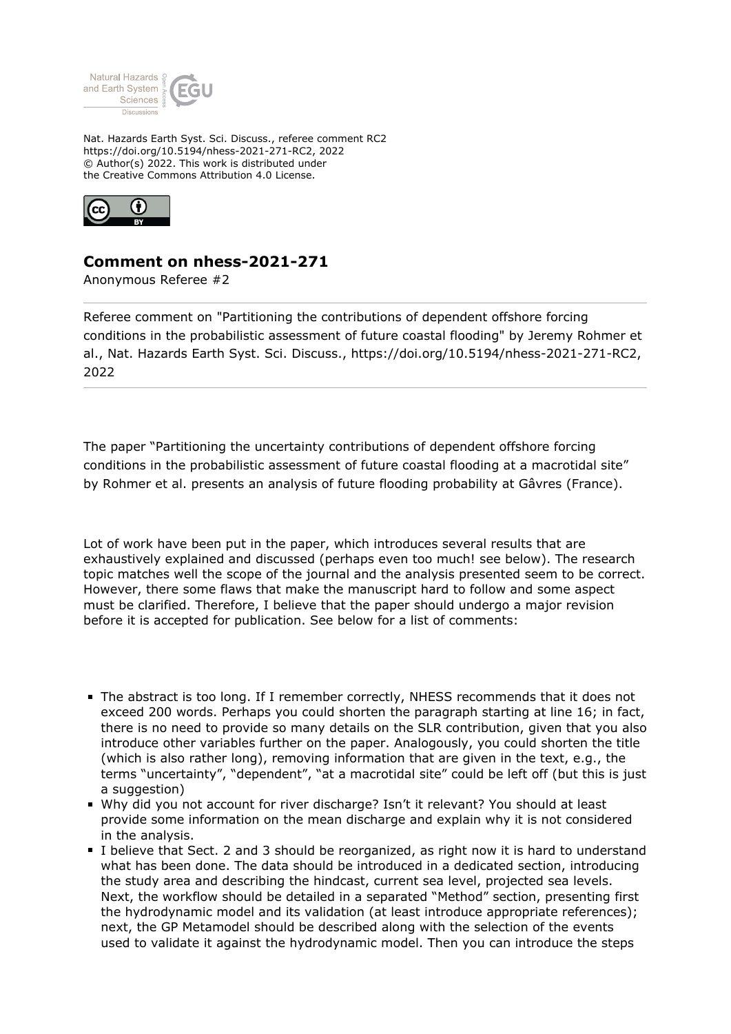

Nat. Hazards Earth Syst. Sci. Discuss., referee comment RC2 https://doi.org/10.5194/nhess-2021-271-RC2, 2022 © Author(s) 2022. This work is distributed under the Creative Commons Attribution 4.0 License.



## **Comment on nhess-2021-271**

Anonymous Referee #2

Referee comment on "Partitioning the contributions of dependent offshore forcing conditions in the probabilistic assessment of future coastal flooding" by Jeremy Rohmer et al., Nat. Hazards Earth Syst. Sci. Discuss., https://doi.org/10.5194/nhess-2021-271-RC2, 2022

The paper "Partitioning the uncertainty contributions of dependent offshore forcing conditions in the probabilistic assessment of future coastal flooding at a macrotidal site" by Rohmer et al. presents an analysis of future flooding probability at Gâvres (France).

Lot of work have been put in the paper, which introduces several results that are exhaustively explained and discussed (perhaps even too much! see below). The research topic matches well the scope of the journal and the analysis presented seem to be correct. However, there some flaws that make the manuscript hard to follow and some aspect must be clarified. Therefore, I believe that the paper should undergo a major revision before it is accepted for publication. See below for a list of comments:

- The abstract is too long. If I remember correctly, NHESS recommends that it does not exceed 200 words. Perhaps you could shorten the paragraph starting at line 16; in fact, there is no need to provide so many details on the SLR contribution, given that you also introduce other variables further on the paper. Analogously, you could shorten the title (which is also rather long), removing information that are given in the text, e.g., the terms "uncertainty", "dependent", "at a macrotidal site" could be left off (but this is just a suggestion)
- Why did you not account for river discharge? Isn't it relevant? You should at least provide some information on the mean discharge and explain why it is not considered in the analysis.
- I believe that Sect. 2 and 3 should be reorganized, as right now it is hard to understand what has been done. The data should be introduced in a dedicated section, introducing the study area and describing the hindcast, current sea level, projected sea levels. Next, the workflow should be detailed in a separated "Method" section, presenting first the hydrodynamic model and its validation (at least introduce appropriate references); next, the GP Metamodel should be described along with the selection of the events used to validate it against the hydrodynamic model. Then you can introduce the steps